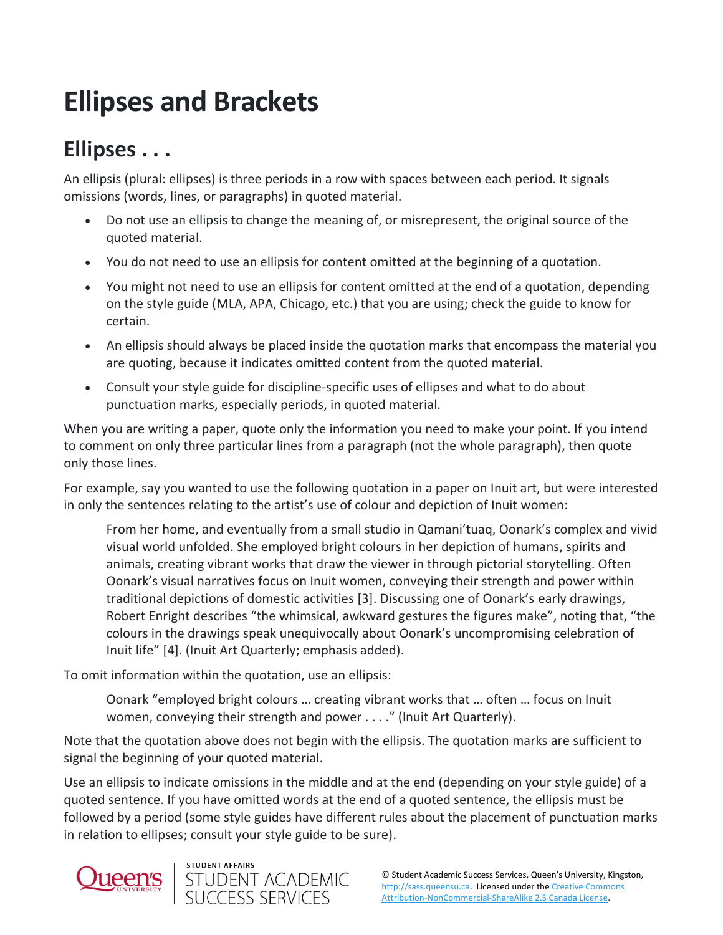## **Ellipses and Brackets**

## **Ellipses . . .**

An ellipsis (plural: ellipses) is three periods in a row with spaces between each period. It signals omissions (words, lines, or paragraphs) in quoted material.

- Do not use an ellipsis to change the meaning of, or misrepresent, the original source of the quoted material.
- You do not need to use an ellipsis for content omitted at the beginning of a quotation.
- You might not need to use an ellipsis for content omitted at the end of a quotation, depending on the style guide (MLA, APA, Chicago, etc.) that you are using; check the guide to know for certain.
- An ellipsis should always be placed inside the quotation marks that encompass the material you are quoting, because it indicates omitted content from the quoted material.
- Consult your style guide for discipline-specific uses of ellipses and what to do about punctuation marks, especially periods, in quoted material.

When you are writing a paper, quote only the information you need to make your point. If you intend to comment on only three particular lines from a paragraph (not the whole paragraph), then quote only those lines.

For example, say you wanted to use the following quotation in a paper on Inuit art, but were interested in only the sentences relating to the artist's use of colour and depiction of Inuit women:

From her home, and eventually from a small studio in Qamani'tuaq, Oonark's complex and vivid visual world unfolded. She employed bright colours in her depiction of humans, spirits and animals, creating vibrant works that draw the viewer in through pictorial storytelling. Often Oonark's visual narratives focus on Inuit women, conveying their strength and power within traditional depictions of domestic activities [3]. Discussing one of Oonark's early drawings, Robert Enright describes "the whimsical, awkward gestures the figures make", noting that, "the colours in the drawings speak unequivocally about Oonark's uncompromising celebration of Inuit life" [4]. (Inuit Art Quarterly; emphasis added).

To omit information within the quotation, use an ellipsis:

Oonark "employed bright colours … creating vibrant works that … often … focus on Inuit women, conveying their strength and power . . . ." (Inuit Art Quarterly).

Note that the quotation above does not begin with the ellipsis. The quotation marks are sufficient to signal the beginning of your quoted material.

Use an ellipsis to indicate omissions in the middle and at the end (depending on your style guide) of a quoted sentence. If you have omitted words at the end of a quoted sentence, the ellipsis must be followed by a period (some style guides have different rules about the placement of punctuation marks in relation to ellipses; consult your style guide to be sure).